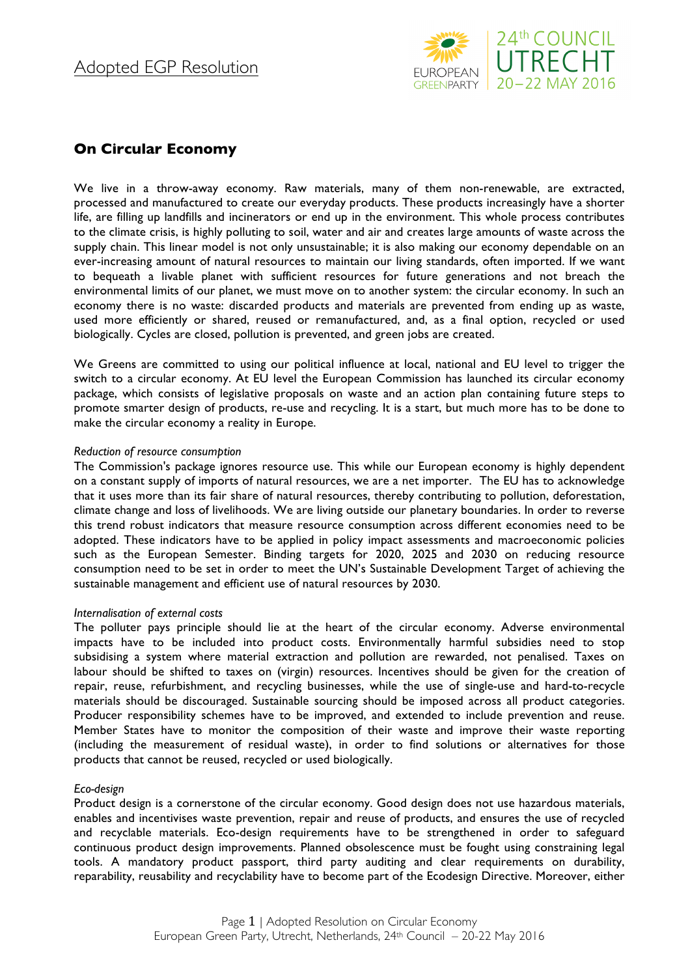

# **On Circular Economy**

We live in a throw-away economy. Raw materials, many of them non-renewable, are extracted, processed and manufactured to create our everyday products. These products increasingly have a shorter life, are filling up landfills and incinerators or end up in the environment. This whole process contributes to the climate crisis, is highly polluting to soil, water and air and creates large amounts of waste across the supply chain. This linear model is not only unsustainable; it is also making our economy dependable on an ever-increasing amount of natural resources to maintain our living standards, often imported. If we want to bequeath a livable planet with sufficient resources for future generations and not breach the environmental limits of our planet, we must move on to another system: the circular economy. In such an economy there is no waste: discarded products and materials are prevented from ending up as waste, used more efficiently or shared, reused or remanufactured, and, as a final option, recycled or used biologically. Cycles are closed, pollution is prevented, and green jobs are created.

We Greens are committed to using our political influence at local, national and EU level to trigger the switch to a circular economy. At EU level the European Commission has launched its circular economy package, which consists of legislative proposals on waste and an action plan containing future steps to promote smarter design of products, re-use and recycling. It is a start, but much more has to be done to make the circular economy a reality in Europe.

# *Reduction of resource consumption*

The Commission's package ignores resource use. This while our European economy is highly dependent on a constant supply of imports of natural resources, we are a net importer. The EU has to acknowledge that it uses more than its fair share of natural resources, thereby contributing to pollution, deforestation, climate change and loss of livelihoods. We are living outside our planetary boundaries. In order to reverse this trend robust indicators that measure resource consumption across different economies need to be adopted. These indicators have to be applied in policy impact assessments and macroeconomic policies such as the European Semester. Binding targets for 2020, 2025 and 2030 on reducing resource consumption need to be set in order to meet the UN's Sustainable Development Target of achieving the sustainable management and efficient use of natural resources by 2030.

# *Internalisation of external costs*

The polluter pays principle should lie at the heart of the circular economy. Adverse environmental impacts have to be included into product costs. Environmentally harmful subsidies need to stop subsidising a system where material extraction and pollution are rewarded, not penalised. Taxes on labour should be shifted to taxes on (virgin) resources. Incentives should be given for the creation of repair, reuse, refurbishment, and recycling businesses, while the use of single-use and hard-to-recycle materials should be discouraged. Sustainable sourcing should be imposed across all product categories. Producer responsibility schemes have to be improved, and extended to include prevention and reuse. Member States have to monitor the composition of their waste and improve their waste reporting (including the measurement of residual waste), in order to find solutions or alternatives for those products that cannot be reused, recycled or used biologically.

# *Eco-design*

Product design is a cornerstone of the circular economy. Good design does not use hazardous materials, enables and incentivises waste prevention, repair and reuse of products, and ensures the use of recycled and recyclable materials. Eco-design requirements have to be strengthened in order to safeguard continuous product design improvements. Planned obsolescence must be fought using constraining legal tools. A mandatory product passport, third party auditing and clear requirements on durability, reparability, reusability and recyclability have to become part of the Ecodesign Directive. Moreover, either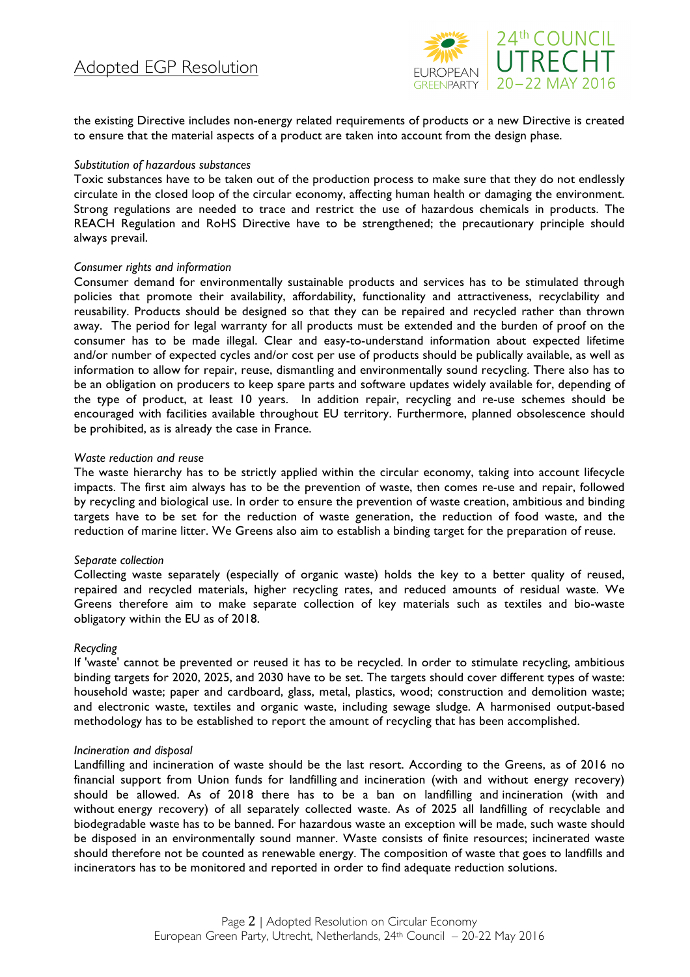

the existing Directive includes non-energy related requirements of products or a new Directive is created to ensure that the material aspects of a product are taken into account from the design phase.

#### *Substitution of hazardous substances*

Toxic substances have to be taken out of the production process to make sure that they do not endlessly circulate in the closed loop of the circular economy, affecting human health or damaging the environment. Strong regulations are needed to trace and restrict the use of hazardous chemicals in products. The REACH Regulation and RoHS Directive have to be strengthened; the precautionary principle should always prevail.

#### *Consumer rights and information*

Consumer demand for environmentally sustainable products and services has to be stimulated through policies that promote their availability, affordability, functionality and attractiveness, recyclability and reusability. Products should be designed so that they can be repaired and recycled rather than thrown away. The period for legal warranty for all products must be extended and the burden of proof on the consumer has to be made illegal. Clear and easy-to-understand information about expected lifetime and/or number of expected cycles and/or cost per use of products should be publically available, as well as information to allow for repair, reuse, dismantling and environmentally sound recycling. There also has to be an obligation on producers to keep spare parts and software updates widely available for, depending of the type of product, at least 10 years. In addition repair, recycling and re-use schemes should be encouraged with facilities available throughout EU territory. Furthermore, planned obsolescence should be prohibited, as is already the case in France.

#### *Waste reduction and reuse*

The waste hierarchy has to be strictly applied within the circular economy, taking into account lifecycle impacts. The first aim always has to be the prevention of waste, then comes re-use and repair, followed by recycling and biological use. In order to ensure the prevention of waste creation, ambitious and binding targets have to be set for the reduction of waste generation, the reduction of food waste, and the reduction of marine litter. We Greens also aim to establish a binding target for the preparation of reuse.

#### *Separate collection*

Collecting waste separately (especially of organic waste) holds the key to a better quality of reused, repaired and recycled materials, higher recycling rates, and reduced amounts of residual waste. We Greens therefore aim to make separate collection of key materials such as textiles and bio-waste obligatory within the EU as of 2018.

#### *Recycling*

If 'waste' cannot be prevented or reused it has to be recycled. In order to stimulate recycling, ambitious binding targets for 2020, 2025, and 2030 have to be set. The targets should cover different types of waste: household waste; paper and cardboard, glass, metal, plastics, wood; construction and demolition waste; and electronic waste, textiles and organic waste, including sewage sludge. A harmonised output-based methodology has to be established to report the amount of recycling that has been accomplished.

#### *Incineration and disposal*

Landfilling and incineration of waste should be the last resort. According to the Greens, as of 2016 no financial support from Union funds for landfilling and incineration (with and without energy recovery) should be allowed. As of 2018 there has to be a ban on landfilling and incineration (with and without energy recovery) of all separately collected waste. As of 2025 all landfilling of recyclable and biodegradable waste has to be banned. For hazardous waste an exception will be made, such waste should be disposed in an environmentally sound manner. Waste consists of finite resources; incinerated waste should therefore not be counted as renewable energy. The composition of waste that goes to landfills and incinerators has to be monitored and reported in order to find adequate reduction solutions.